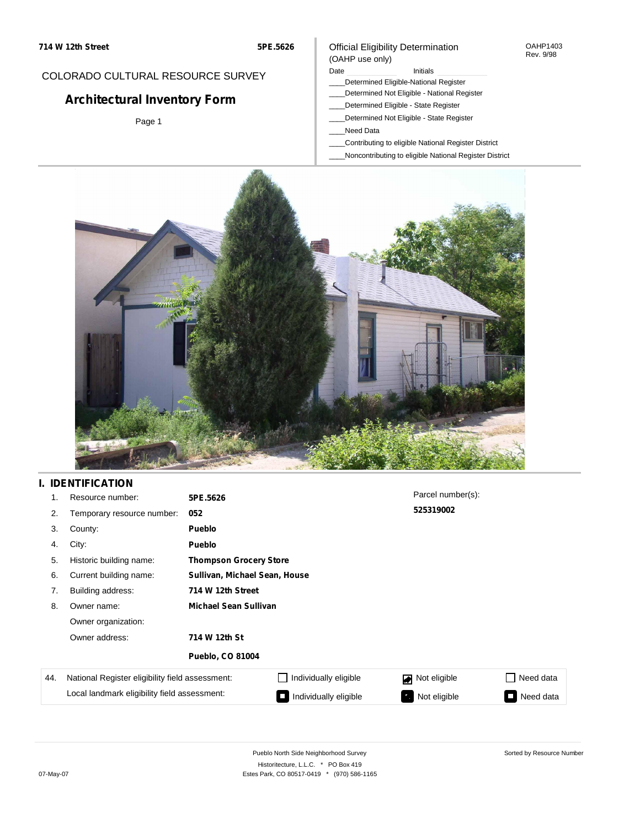COLORADO CULTURAL RESOURCE SURVEY

**Architectural Inventory Form**

Page 1

# Official Eligibility Determination

#### OAHP1403 Rev. 9/98

#### (OAHP use only) Date **Initials** Initials

- \_\_\_\_Determined Eligible-National Register
- \_\_\_\_Determined Not Eligible National Register
- \_\_\_\_Determined Eligible State Register
- \_\_\_\_Determined Not Eligible State Register
- \_\_\_\_Need Data
- \_\_\_\_Contributing to eligible National Register District
- \_\_\_\_Noncontributing to eligible National Register District



# **I. IDENTIFICATION**

| 1.  | Resource number:                                                                                | 5PE.5626                      |                               | Parcel number(s): |                |  |  |
|-----|-------------------------------------------------------------------------------------------------|-------------------------------|-------------------------------|-------------------|----------------|--|--|
| 2.  | Temporary resource number:                                                                      | 052                           |                               | 525319002         |                |  |  |
| 3.  | County:                                                                                         | Pueblo                        |                               |                   |                |  |  |
| 4.  | City:                                                                                           | Pueblo                        |                               |                   |                |  |  |
| 5.  | Historic building name:                                                                         |                               | <b>Thompson Grocery Store</b> |                   |                |  |  |
| 6.  | Current building name:                                                                          | Sullivan, Michael Sean, House |                               |                   |                |  |  |
| 7.  | Building address:                                                                               | 714 W 12th Street             |                               |                   |                |  |  |
| 8.  | Owner name:                                                                                     | <b>Michael Sean Sullivan</b>  |                               |                   |                |  |  |
|     | Owner organization:                                                                             |                               |                               |                   |                |  |  |
|     | Owner address:                                                                                  | 714 W 12th St                 |                               |                   |                |  |  |
|     | <b>Pueblo, CO 81004</b>                                                                         |                               |                               |                   |                |  |  |
| 44. | National Register eligibility field assessment:<br>Local landmark eligibility field assessment: |                               | Individually eligible         | Not eligible      | Need data      |  |  |
|     |                                                                                                 |                               | Individually eligible         | Not eligible      | Need data<br>П |  |  |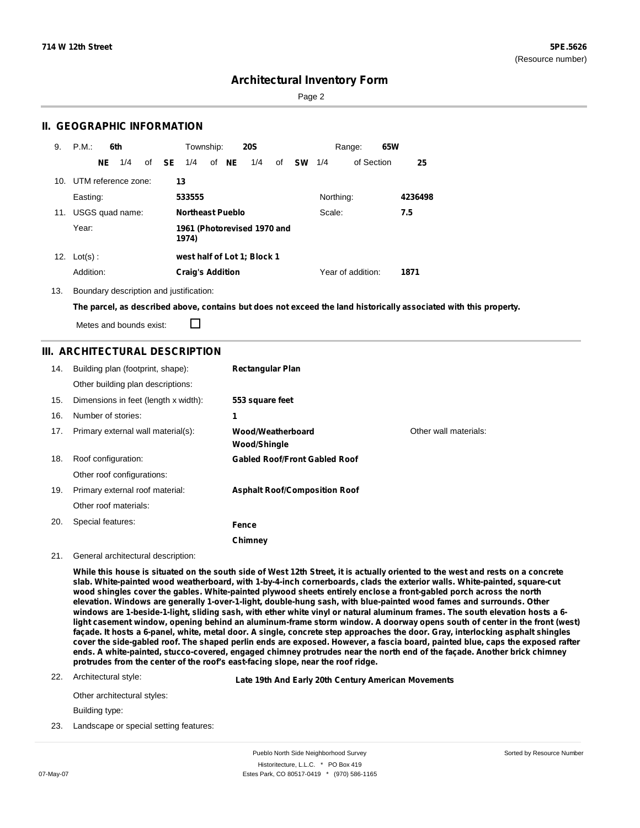Sorted by Resource Number

## **Architectural Inventory Form**

Page 2

#### **II. GEOGRAPHIC INFORMATION**

| 9.  | P.M.<br>6th             |              | Township:                            |       | <b>20S</b> |    |           |           | Range:            | 65W |         |
|-----|-------------------------|--------------|--------------------------------------|-------|------------|----|-----------|-----------|-------------------|-----|---------|
|     | 1/4<br>NE               | of <b>SE</b> | 1/4                                  | of NE | 1/4        | of | <b>SW</b> | 1/4       | of Section        |     | 25      |
|     | 10. UTM reference zone: |              | 13                                   |       |            |    |           |           |                   |     |         |
|     | Easting:                |              | 533555                               |       |            |    |           | Northing: |                   |     | 4236498 |
| 11. | USGS quad name:         |              | Northeast Pueblo                     |       |            |    |           | Scale:    |                   |     | 7.5     |
|     | Year:                   |              | 1961 (Photorevised 1970 and<br>1974) |       |            |    |           |           |                   |     |         |
| 12. | $Lot(s)$ :              |              | west half of Lot 1; Block 1          |       |            |    |           |           |                   |     |         |
|     | Addition:               |              | <b>Craig's Addition</b>              |       |            |    |           |           | Year of addition: |     | 1871    |

13. Boundary description and justification:

The parcel, as described above, contains but does not exceed the land historically associated with this property.

Metes and bounds exist:

П

### **III. ARCHITECTURAL DESCRIPTION**

| 14. | Building plan (footprint, shape):    | <b>Rectangular Plan</b>              |                       |
|-----|--------------------------------------|--------------------------------------|-----------------------|
|     | Other building plan descriptions:    |                                      |                       |
| 15. | Dimensions in feet (length x width): | 553 square feet                      |                       |
| 16. | Number of stories:                   | 1                                    |                       |
| 17. | Primary external wall material(s):   | Wood/Weatherboard<br>Wood/Shingle    | Other wall materials: |
| 18. | Roof configuration:                  | <b>Gabled Roof/Front Gabled Roof</b> |                       |
|     | Other roof configurations:           |                                      |                       |
| 19. | Primary external roof material:      | <b>Asphalt Roof/Composition Roof</b> |                       |
|     | Other roof materials:                |                                      |                       |
| 20. | Special features:                    | Fence                                |                       |
|     |                                      | Chimney                              |                       |

#### 21. General architectural description:

While this house is situated on the south side of West 12th Street, it is actually oriented to the west and rests on a concrete **slab. White-painted wood weatherboard, with 1-by-4-inch cornerboards, clads the exterior walls. White-painted, square-cut** wood shingles cover the gables. White-painted plywood sheets entirely enclose a front-gabled porch across the north **elevation. Windows are generally 1-over-1-light, double-hung sash, with blue-painted wood fames and surrounds. Other** windows are 1-beside-1-light, sliding sash, with ether white vinyl or natural aluminum frames. The south elevation hosts a 6light casement window, opening behind an aluminum-frame storm window. A doorway opens south of center in the front (west) façade. It hosts a 6-panel, white, metal door. A single, concrete step approaches the door. Gray, interlocking asphalt shingles cover the side-gabled roof. The shaped perlin ends are exposed. However, a fascia board, painted blue, caps the exposed rafter ends. A white-painted, stucco-covered, engaged chimney protrudes near the north end of the facade. Another brick chimney **protrudes from the center of the roof's east-facing slope, near the roof ridge.**

22. Architectural style:

**Late 19th And Early 20th Century American Movements**

Other architectural styles:

Building type:

23. Landscape or special setting features: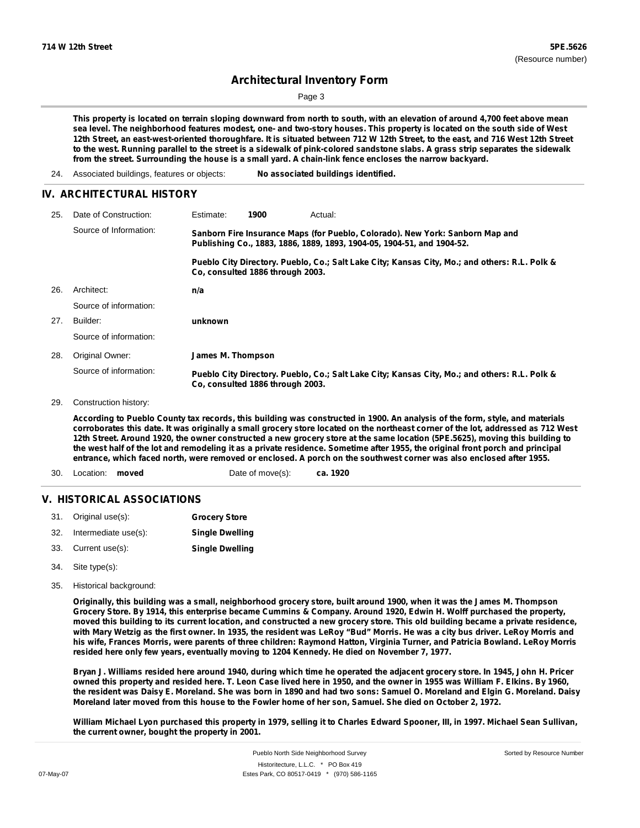Page 3

This property is located on terrain sloping downward from north to south, with an elevation of around 4,700 feet above mean sea level. The neighborhood features modest, one- and two-story houses. This property is located on the south side of West 12th Street, an east-west-oriented thoroughfare. It is situated between 712 W 12th Street, to the east, and 716 West 12th Street to the west. Running parallel to the street is a sidewalk of pink-colored sandstone slabs. A grass strip separates the sidewalk **from the street. Surrounding the house is a small yard. A chain-link fence encloses the narrow backyard.**

24. Associated buildings, features or objects: **No associated buildings identified.**

#### **IV. ARCHITECTURAL HISTORY**

| 25. | Date of Construction:  | Estimate:                                                                                                                                               | 1900                             | Actual:                                                                                       |
|-----|------------------------|---------------------------------------------------------------------------------------------------------------------------------------------------------|----------------------------------|-----------------------------------------------------------------------------------------------|
|     | Source of Information: | Sanborn Fire Insurance Maps (for Pueblo, Colorado). New York: Sanborn Map and<br>Publishing Co., 1883, 1886, 1889, 1893, 1904-05, 1904-51, and 1904-52. |                                  |                                                                                               |
|     |                        |                                                                                                                                                         | Co. consulted 1886 through 2003. | Pueblo City Directory. Pueblo, Co.; Salt Lake City; Kansas City, Mo.; and others: R.L. Polk & |
| 26. | Architect:             | n/a                                                                                                                                                     |                                  |                                                                                               |
|     | Source of information: |                                                                                                                                                         |                                  |                                                                                               |
| 27. | Builder:               | unknown                                                                                                                                                 |                                  |                                                                                               |
|     | Source of information: |                                                                                                                                                         |                                  |                                                                                               |
| 28. | Original Owner:        | James M. Thompson                                                                                                                                       |                                  |                                                                                               |
|     | Source of information: |                                                                                                                                                         | Co. consulted 1886 through 2003. | Pueblo City Directory. Pueblo, Co.; Salt Lake City; Kansas City, Mo.; and others: R.L. Polk & |

29. Construction history:

According to Pueblo County tax records, this building was constructed in 1900. An analysis of the form, style, and materials corroborates this date. It was originally a small grocery store located on the northeast corner of the lot, addressed as 712 West 12th Street. Around 1920, the owner constructed a new grocery store at the same location (5PE.5625), moving this building to the west half of the lot and remodeling it as a private residence. Sometime after 1955, the original front porch and principal entrance, which faced north, were removed or enclosed. A porch on the southwest corner was also enclosed after 1955.

**ca. 1920** 30. Location: **moved** Date of move(s):

#### **V. HISTORICAL ASSOCIATIONS**

| 31. | Original use(s):     | <b>Grocery Store</b>   |
|-----|----------------------|------------------------|
| 32. | Intermediate use(s): | <b>Single Dwelling</b> |

- 33. Current use(s): **Single Dwelling**
- Site type(s): 34.
- 35. Historical background:

Originally, this building was a small, neighborhood grocery store, built around 1900, when it was the James M. Thompson Grocery Store. By 1914, this enterprise became Cummins & Company. Around 1920, Edwin H. Wolff purchased the property, moved this building to its current location, and constructed a new grocery store. This old building became a private residence, with Mary Wetzig as the first owner. In 1935, the resident was LeRoy "Bud" Morris. He was a city bus driver. LeRoy Morris and his wife, Frances Morris, were parents of three children: Raymond Hatton, Virginia Turner, and Patricia Bowland. LeRoy Morris **resided here only few years, eventually moving to 1204 Kennedy. He died on November 7, 1977.**

Bryan J. Williams resided here around 1940, during which time he operated the adjacent grocery store. In 1945, John H. Pricer owned this property and resided here. T. Leon Case lived here in 1950, and the owner in 1955 was William F. Elkins. By 1960, the resident was Daisy E. Moreland. She was born in 1890 and had two sons: Samuel O. Moreland and Elgin G. Moreland. Daisy Moreland later moved from this house to the Fowler home of her son, Samuel. She died on October 2, 1972.

William Michael Lyon purchased this property in 1979, selling it to Charles Edward Spooner, III, in 1997. Michael Sean Sullivan, **the current owner, bought the property in 2001.**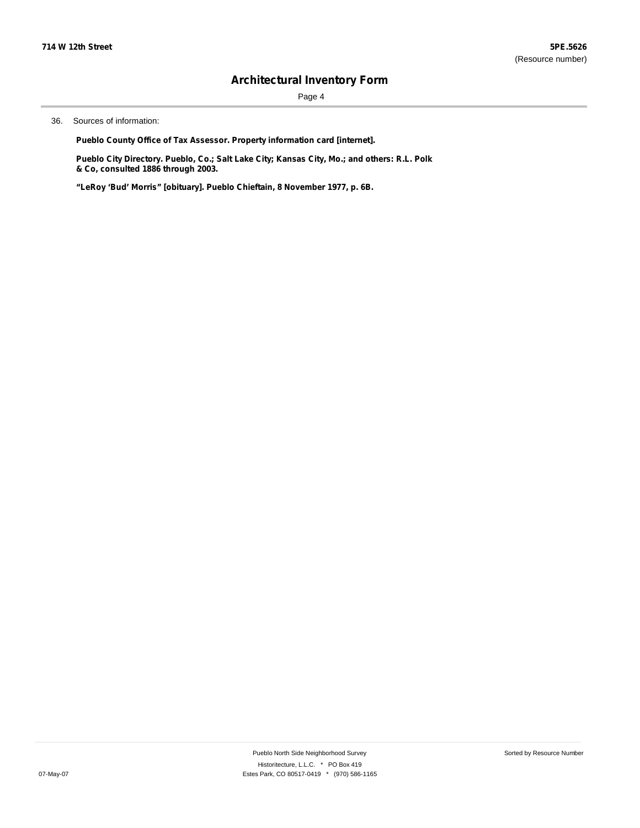Page 4

36. Sources of information:

**Pueblo County Office of Tax Assessor. Property information card [internet].**

**Pueblo City Directory. Pueblo, Co.; Salt Lake City; Kansas City, Mo.; and others: R.L. Polk & Co, consulted 1886 through 2003.**

**"LeRoy 'Bud' Morris" [obituary]. Pueblo Chieftain, 8 November 1977, p. 6B.**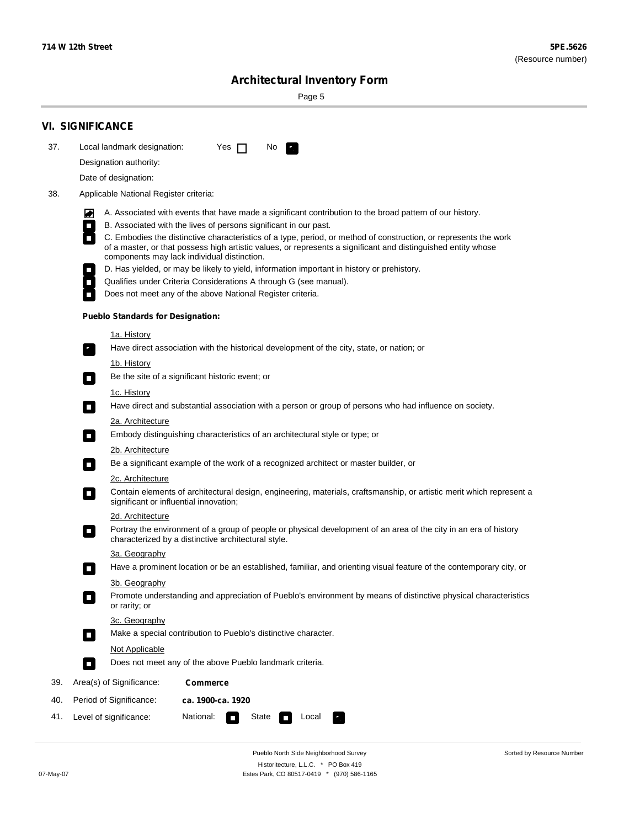Sorted by Resource Number

# **Architectural Inventory Form**

Page 5

|                                                                                                                     | <b>VI. SIGNIFICANCE</b>                                                                                                                                                                                                                                                                                      |  |  |  |  |  |  |
|---------------------------------------------------------------------------------------------------------------------|--------------------------------------------------------------------------------------------------------------------------------------------------------------------------------------------------------------------------------------------------------------------------------------------------------------|--|--|--|--|--|--|
| 37.                                                                                                                 | Local landmark designation:<br>Yes $\Box$<br>No.<br>$\mathcal{P}_{\rm{in}}^{\rm{in}}$                                                                                                                                                                                                                        |  |  |  |  |  |  |
|                                                                                                                     | Designation authority:                                                                                                                                                                                                                                                                                       |  |  |  |  |  |  |
|                                                                                                                     | Date of designation:                                                                                                                                                                                                                                                                                         |  |  |  |  |  |  |
| 38.                                                                                                                 | Applicable National Register criteria:                                                                                                                                                                                                                                                                       |  |  |  |  |  |  |
|                                                                                                                     | A. Associated with events that have made a significant contribution to the broad pattern of our history.<br>M                                                                                                                                                                                                |  |  |  |  |  |  |
|                                                                                                                     | B. Associated with the lives of persons significant in our past.<br>$\Box$                                                                                                                                                                                                                                   |  |  |  |  |  |  |
|                                                                                                                     | $\overline{\phantom{a}}$<br>C. Embodies the distinctive characteristics of a type, period, or method of construction, or represents the work<br>of a master, or that possess high artistic values, or represents a significant and distinguished entity whose<br>components may lack individual distinction. |  |  |  |  |  |  |
|                                                                                                                     | D. Has yielded, or may be likely to yield, information important in history or prehistory.                                                                                                                                                                                                                   |  |  |  |  |  |  |
|                                                                                                                     | Qualifies under Criteria Considerations A through G (see manual).<br>$\overline{\phantom{a}}$                                                                                                                                                                                                                |  |  |  |  |  |  |
|                                                                                                                     | Does not meet any of the above National Register criteria.                                                                                                                                                                                                                                                   |  |  |  |  |  |  |
|                                                                                                                     | <b>Pueblo Standards for Designation:</b>                                                                                                                                                                                                                                                                     |  |  |  |  |  |  |
|                                                                                                                     | 1a. History                                                                                                                                                                                                                                                                                                  |  |  |  |  |  |  |
|                                                                                                                     | Have direct association with the historical development of the city, state, or nation; or<br>$\mathbf{r}_\perp$                                                                                                                                                                                              |  |  |  |  |  |  |
|                                                                                                                     | <u>1b. History</u><br>Be the site of a significant historic event; or<br>$\overline{\phantom{a}}$                                                                                                                                                                                                            |  |  |  |  |  |  |
|                                                                                                                     | 1c. History<br>Have direct and substantial association with a person or group of persons who had influence on society.<br>$\overline{\phantom{a}}$                                                                                                                                                           |  |  |  |  |  |  |
|                                                                                                                     | 2a. Architecture<br>Embody distinguishing characteristics of an architectural style or type; or<br>$\mathcal{L}_{\mathcal{A}}$                                                                                                                                                                               |  |  |  |  |  |  |
|                                                                                                                     | 2b. Architecture                                                                                                                                                                                                                                                                                             |  |  |  |  |  |  |
| Be a significant example of the work of a recognized architect or master builder, or<br>$\mathcal{L}_{\mathcal{A}}$ |                                                                                                                                                                                                                                                                                                              |  |  |  |  |  |  |
|                                                                                                                     | 2c. Architecture                                                                                                                                                                                                                                                                                             |  |  |  |  |  |  |
|                                                                                                                     | Contain elements of architectural design, engineering, materials, craftsmanship, or artistic merit which represent a<br>$\overline{\phantom{a}}$<br>significant or influential innovation;                                                                                                                   |  |  |  |  |  |  |
|                                                                                                                     | 2d. Architecture                                                                                                                                                                                                                                                                                             |  |  |  |  |  |  |
|                                                                                                                     | Portray the environment of a group of people or physical development of an area of the city in an era of history<br>$\Box$<br>characterized by a distinctive architectural style.                                                                                                                            |  |  |  |  |  |  |
|                                                                                                                     | 3a. Geography                                                                                                                                                                                                                                                                                                |  |  |  |  |  |  |
|                                                                                                                     | Have a prominent location or be an established, familiar, and orienting visual feature of the contemporary city, or                                                                                                                                                                                          |  |  |  |  |  |  |
|                                                                                                                     | 3b. Geography<br>Promote understanding and appreciation of Pueblo's environment by means of distinctive physical characteristics                                                                                                                                                                             |  |  |  |  |  |  |
|                                                                                                                     | or rarity; or                                                                                                                                                                                                                                                                                                |  |  |  |  |  |  |
|                                                                                                                     | 3c. Geography                                                                                                                                                                                                                                                                                                |  |  |  |  |  |  |
|                                                                                                                     | Make a special contribution to Pueblo's distinctive character.<br>$\mathcal{L}_{\mathcal{A}}$                                                                                                                                                                                                                |  |  |  |  |  |  |
|                                                                                                                     | Not Applicable                                                                                                                                                                                                                                                                                               |  |  |  |  |  |  |
|                                                                                                                     | Does not meet any of the above Pueblo landmark criteria.<br>$\Box$                                                                                                                                                                                                                                           |  |  |  |  |  |  |
| 39.                                                                                                                 | Area(s) of Significance:<br><b>Commerce</b>                                                                                                                                                                                                                                                                  |  |  |  |  |  |  |
| 40.                                                                                                                 | Period of Significance:<br>ca. 1900-ca. 1920                                                                                                                                                                                                                                                                 |  |  |  |  |  |  |
| 41.                                                                                                                 | National:<br>State<br>Level of significance:<br>Local                                                                                                                                                                                                                                                        |  |  |  |  |  |  |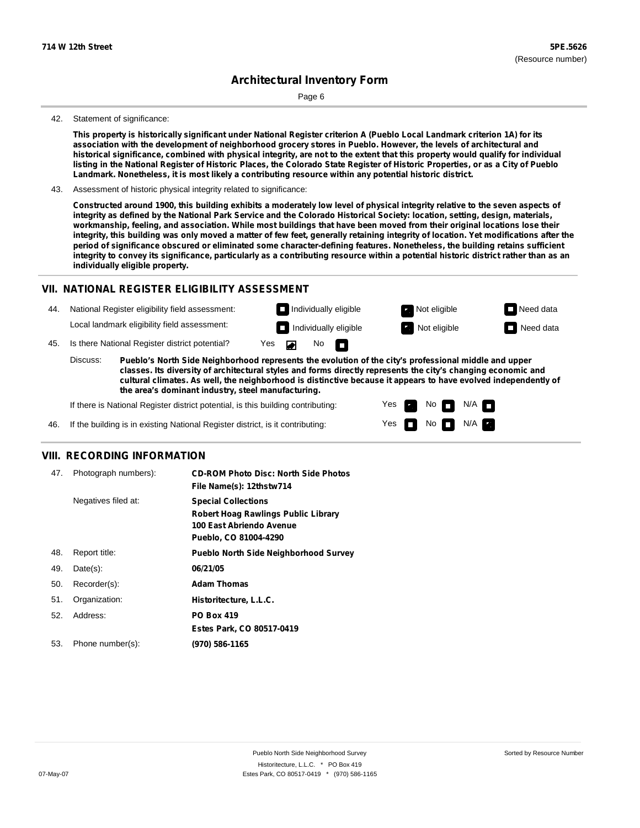Page 6

#### 42. Statement of significance:

This property is historically significant under National Register criterion A (Pueblo Local Landmark criterion 1A) for its association with the development of neighborhood grocery stores in Pueblo. However, the levels of architectural and historical significance, combined with physical integrity, are not to the extent that this property would qualify for individual listing in the National Register of Historic Places, the Colorado State Register of Historic Properties, or as a City of Pueblo **Landmark. Nonetheless, it is most likely a contributing resource within any potential historic district.**

43. Assessment of historic physical integrity related to significance:

Constructed around 1900, this building exhibits a moderately low level of physical integrity relative to the seven aspects of integrity as defined by the National Park Service and the Colorado Historical Society: location, setting, design, materials, workmanship, feeling, and association. While most buildings that have been moved from their original locations lose their integrity, this building was only moved a matter of few feet, generally retaining integrity of location. Yet modifications after the **period of significance obscured or eliminated some character-defining features. Nonetheless, the building retains sufficient** integrity to convey its significance, particularly as a contributing resource within a potential historic district rather than as an **individually eligible property.**

#### **VII. NATIONAL REGISTER ELIGIBILITY ASSESSMENT**

44. National Register eligibility field assessment: Local landmark eligibility field assessment:

**Individually eligible Not eligible** Not eligible **Need data Individually eligible Not eligible** Not eligible **Need data** 

No<sub>D</sub>

45. Is there National Register district potential? Yes

**Pueblo's North Side Neighborhood represents the evolution of the city's professional middle and upper classes. Its diversity of architectural styles and forms directly represents the city's changing economic and cultural climates. As well, the neighborhood is distinctive because it appears to have evolved independently of the area's dominant industry, steel manufacturing.** Discuss:

 $\blacksquare$ 

Yes Yes No

 $No$   $N/A$ 

 $N/A$   $\Box$ 

If there is National Register district potential, is this building contributing:



#### **VIII. RECORDING INFORMATION**

| 47. | Photograph numbers): | <b>CD-ROM Photo Disc: North Side Photos</b><br>File Name(s): 12thstw714                                                       |
|-----|----------------------|-------------------------------------------------------------------------------------------------------------------------------|
|     | Negatives filed at:  | <b>Special Collections</b><br><b>Robert Hoag Rawlings Public Library</b><br>100 East Abriendo Avenue<br>Pueblo, CO 81004-4290 |
| 48. | Report title:        | <b>Pueblo North Side Neighborhood Survey</b>                                                                                  |
| 49. | $Date(s)$ :          | 06/21/05                                                                                                                      |
| 50. | Recorder(s):         | <b>Adam Thomas</b>                                                                                                            |
| 51. | Organization:        | Historitecture, L.L.C.                                                                                                        |
| 52. | Address:             | <b>PO Box 419</b>                                                                                                             |
|     |                      | Estes Park, CO 80517-0419                                                                                                     |
| 53. | Phone number(s):     | (970) 586-1165                                                                                                                |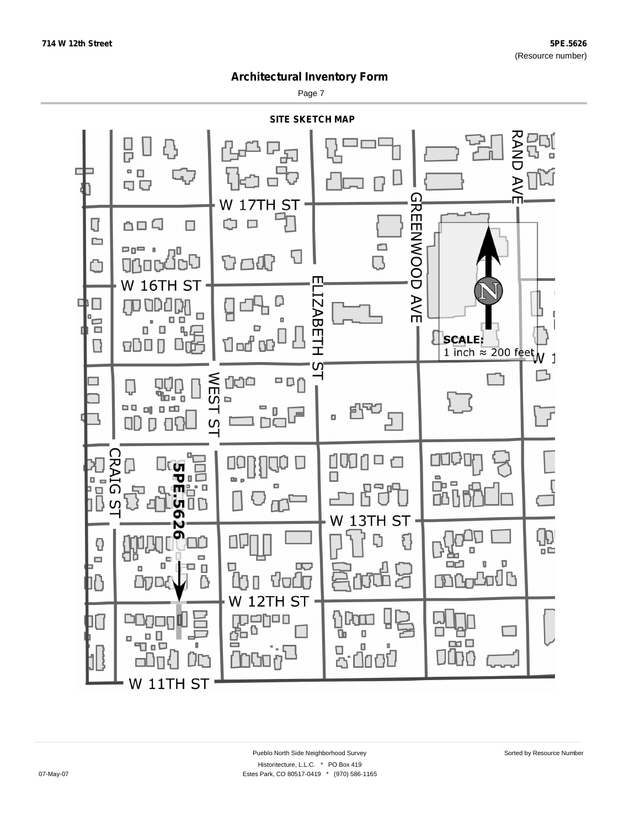Page 7